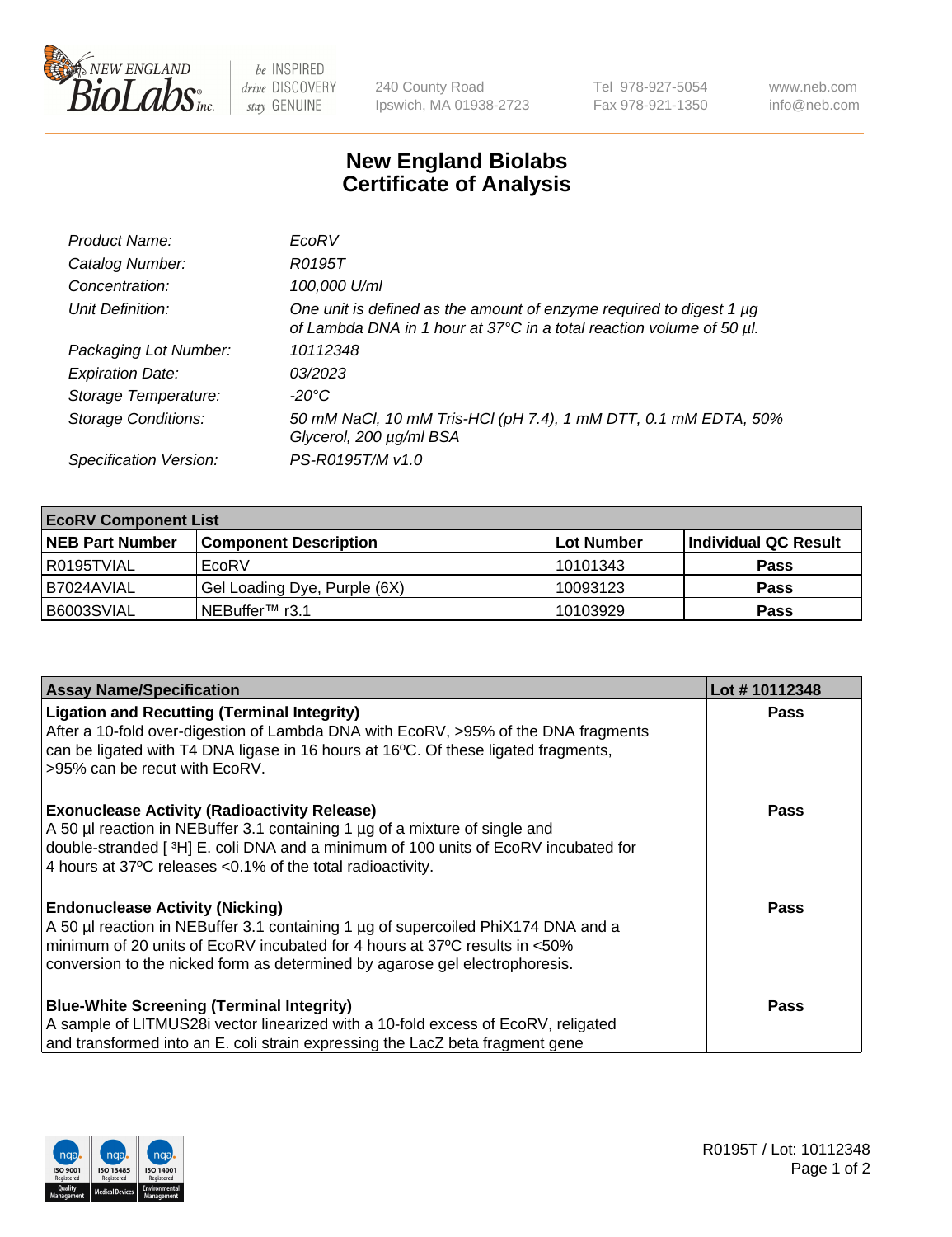

be INSPIRED drive DISCOVERY stay GENUINE

240 County Road Ipswich, MA 01938-2723 Tel 978-927-5054 Fax 978-921-1350 www.neb.com info@neb.com

## **New England Biolabs Certificate of Analysis**

| Product Name:              | EcoRV                                                                                                                                       |
|----------------------------|---------------------------------------------------------------------------------------------------------------------------------------------|
| Catalog Number:            | R0195T                                                                                                                                      |
| Concentration:             | 100,000 U/ml                                                                                                                                |
| Unit Definition:           | One unit is defined as the amount of enzyme required to digest 1 µg<br>of Lambda DNA in 1 hour at 37°C in a total reaction volume of 50 µl. |
| Packaging Lot Number:      | 10112348                                                                                                                                    |
| <b>Expiration Date:</b>    | 0.3/202.3                                                                                                                                   |
| Storage Temperature:       | $-20^{\circ}$ C                                                                                                                             |
| <b>Storage Conditions:</b> | 50 mM NaCl, 10 mM Tris-HCl (pH 7.4), 1 mM DTT, 0.1 mM EDTA, 50%<br>Glycerol, 200 µg/ml BSA                                                  |
| Specification Version:     | PS-R0195T/M v1.0                                                                                                                            |

| <b>EcoRV Component List</b> |                              |            |                      |  |  |
|-----------------------------|------------------------------|------------|----------------------|--|--|
| <b>NEB Part Number</b>      | <b>Component Description</b> | Lot Number | Individual QC Result |  |  |
| I R0195TVIAL                | EcoRV                        | 10101343   | <b>Pass</b>          |  |  |
| I B7024AVIAL                | Gel Loading Dye, Purple (6X) | 10093123   | <b>Pass</b>          |  |  |
| B6003SVIAL                  | INEBuffer™ r3.1              | 10103929   | <b>Pass</b>          |  |  |

| <b>Assay Name/Specification</b>                                                                                                                                                                                                                                                                      | Lot #10112348 |
|------------------------------------------------------------------------------------------------------------------------------------------------------------------------------------------------------------------------------------------------------------------------------------------------------|---------------|
| <b>Ligation and Recutting (Terminal Integrity)</b><br>After a 10-fold over-digestion of Lambda DNA with EcoRV, >95% of the DNA fragments<br>can be ligated with T4 DNA ligase in 16 hours at 16 $\degree$ C. Of these ligated fragments,<br>l >95% can be recut with EcoRV.                          | <b>Pass</b>   |
| <b>Exonuclease Activity (Radioactivity Release)</b><br>A 50 µl reaction in NEBuffer 3.1 containing 1 µg of a mixture of single and<br>double-stranded [ <sup>3</sup> H] E. coli DNA and a minimum of 100 units of EcoRV incubated for<br>4 hours at 37°C releases < 0.1% of the total radioactivity. | Pass          |
| <b>Endonuclease Activity (Nicking)</b><br>A 50 µl reaction in NEBuffer 3.1 containing 1 µg of supercoiled PhiX174 DNA and a<br>I minimum of 20 units of EcoRV incubated for 4 hours at 37°C results in <50%<br>conversion to the nicked form as determined by agarose gel electrophoresis.           | Pass          |
| <b>Blue-White Screening (Terminal Integrity)</b><br>A sample of LITMUS28i vector linearized with a 10-fold excess of EcoRV, religated<br>and transformed into an E. coli strain expressing the LacZ beta fragment gene                                                                               | <b>Pass</b>   |